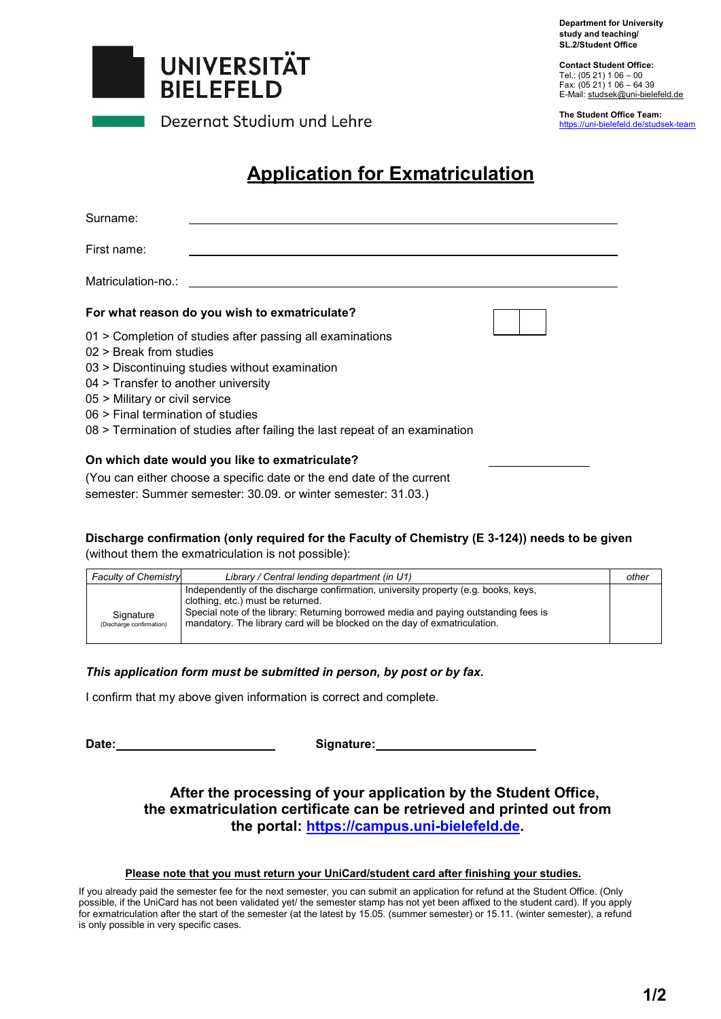**Department for University study and teaching/ SL.2/Student Office**



Dezernat Studium und Lehre

**Contact Student Office:**  Tel.: (05 21) 1 06 – 00 Fax: (05 21) 1 06 – 64 39 E-Mail: studsek@uni-bielefeld.de

**The Student Office Team:**  https://uni-bielefeld.de/studsek-team

# **Application for Exmatriculation**

| Surname:                                                                                                                                                                                                                                                                                                                              |                                               |  |
|---------------------------------------------------------------------------------------------------------------------------------------------------------------------------------------------------------------------------------------------------------------------------------------------------------------------------------------|-----------------------------------------------|--|
| First name:                                                                                                                                                                                                                                                                                                                           |                                               |  |
| Matriculation-no.:                                                                                                                                                                                                                                                                                                                    |                                               |  |
|                                                                                                                                                                                                                                                                                                                                       | For what reason do you wish to exmatriculate? |  |
| 01 > Completion of studies after passing all examinations<br>$02$ > Break from studies<br>03 > Discontinuing studies without examination<br>04 > Transfer to another university<br>05 > Military or civil service<br>06 > Final termination of studies<br>08 > Termination of studies after failing the last repeat of an examination |                                               |  |
| On which date would you like to exmatriculate?<br>(You can either choose a specific date or the end date of the current                                                                                                                                                                                                               |                                               |  |

semester: Summer semester: 30.09. or winter semester: 31.03.)

#### **Discharge confirmation (only required for the Faculty of Chemistry (E 3-124)) needs to be given**  (without them the exmatriculation is not possible):

| <b>Faculty of Chemistry</b>           | Library / Central lending department (in U1)                                                                                                                                                                                                                                                   | other |
|---------------------------------------|------------------------------------------------------------------------------------------------------------------------------------------------------------------------------------------------------------------------------------------------------------------------------------------------|-------|
| Signature<br>(Discharge confirmation) | Independently of the discharge confirmation, university property (e.g. books, keys,<br>clothing, etc.) must be returned.<br>Special note of the library: Returning borrowed media and paying outstanding fees is<br>mandatory. The library card will be blocked on the day of exmatriculation. |       |

#### *This application form must be submitted in person, by post or by fax.*

I confirm that my above given information is correct and complete.

Date: Signature: **Signature:** 

### **After the processing of your application by the Student Office, the exmatriculation certificate can be retrieved and printed out from the portal: https://campus.uni-bielefeld.de.**

#### **Please note that you must return your UniCard/student card after finishing your studies.**

If you already paid the semester fee for the next semester, you can submit an application for refund at the Student Office. (Only possible, if the UniCard has not been validated yet/ the semester stamp has not yet been affixed to the student card). If you apply for exmatriculation after the start of the semester (at the latest by 15.05. (summer semester) or 15.11. (winter semester), a refund is only possible in very specific cases.